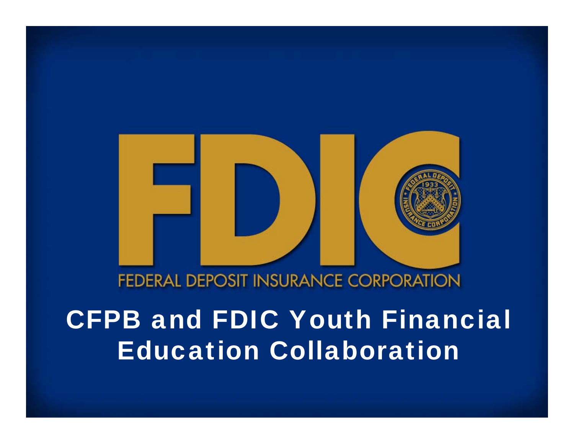#### **FEDERAL DEPOSIT INSURANCE CORPORATION**

## CFPB and FDIC Youth Financial Education Collaboration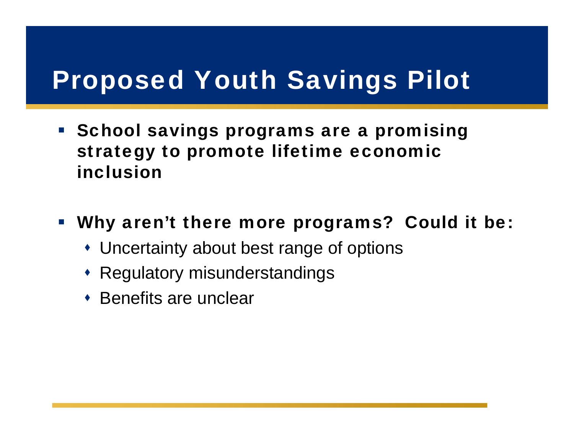- **School savings programs are a promising** strategy to promote lifetime economic inclusion
- **Why aren't there more programs? Could it be** 
	- Uncertainty about best range of options
	- Regulatory misunderstandings
	- **\*** Benefits are unclear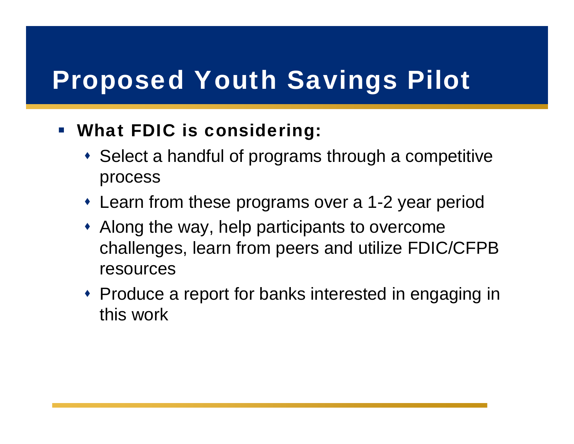#### $\mathcal{L}_{\mathcal{A}}$ What FDIC is considering:

- Select a handful of programs through a competitive process
- Learn from these programs over a 1-2 year period
- Along the way, help participants to overcome challenges, learn from peers and utilize FDIC/CFPB resources
- Produce a report for banks interested in engaging in this work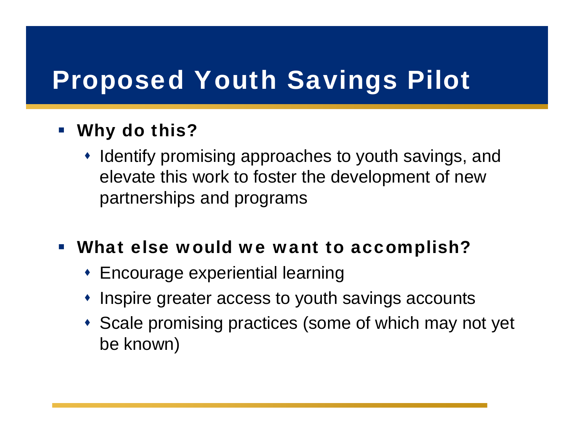#### $\mathcal{L}_{\mathcal{A}}$ Why do this?

- Identify promising approaches to youth savings, and elevate this work to foster the development of new partnerships and programs
- What else would we want to accomplish?
	- Encourage experiential learning
	- Inspire greater access to youth savings accounts
	- Scale promising practices (some of which may not yet be known)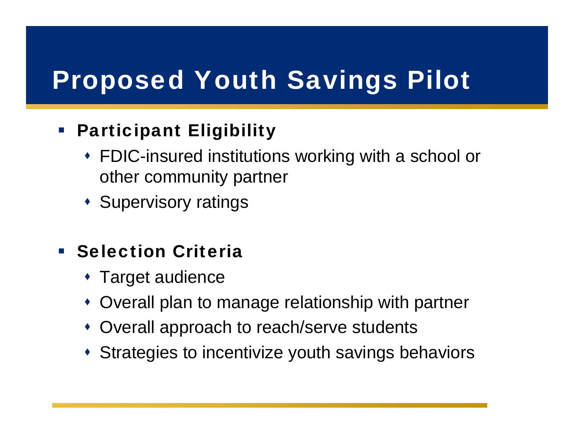#### Participant Eligibility

- FDIC-insured institutions working with a school or other community partner
- **\* Supervisory ratings**
- **Selection Criteria** 
	- Target audience
	- Overall plan to manage relationship with partner
	- Overall approach to reach/serve students
	- Strategies to incentivize youth savings behaviors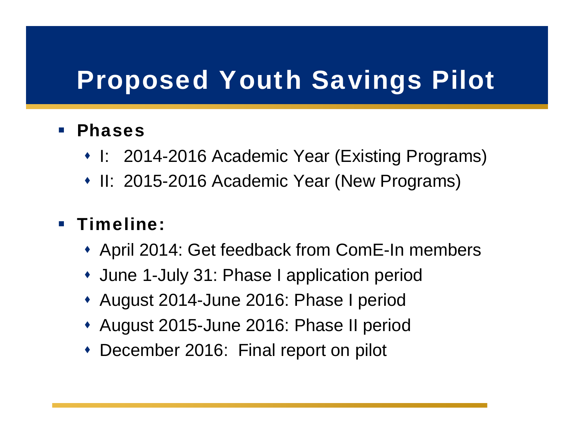#### $\mathbb{R}^n$ Phases

- I: 2014-2016 Academic Year (Existing Programs)
- II: 2015-2016 Academic Year (New Programs)

#### **Timeline:**

- April 2014: Get feedback from ComE-In members
- June 1-July 31: Phase I application period
- August 2014-June 2016: Phase I period
- August 2015-June 2016: Phase II period
- December 2016: Final report on pilot